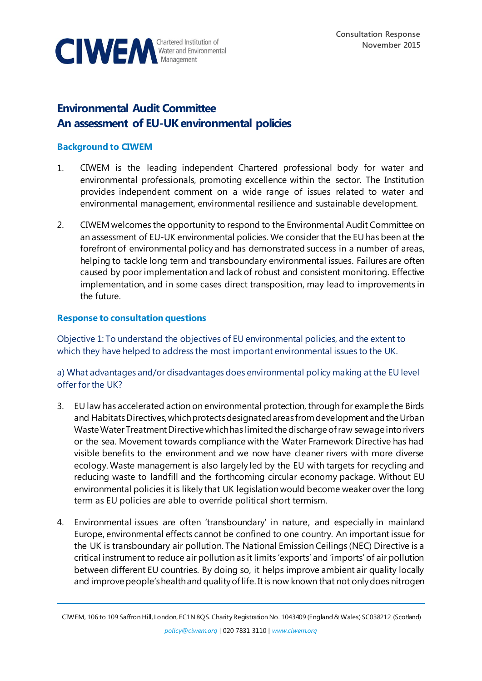

# **Environmental Audit Committee An assessment of EU-UK environmental policies**

#### **Background to CIWEM**

- 1. CIWEM is the leading independent Chartered professional body for water and environmental professionals, promoting excellence within the sector. The Institution provides independent comment on a wide range of issues related to water and environmental management, environmental resilience and sustainable development.
- 2. CIWEM welcomes the opportunity to respond to the Environmental Audit Committee on an assessment of EU-UK environmental policies. We consider that the EU has been at the forefront of environmental policy and has demonstrated success in a number of areas, helping to tackle long term and transboundary environmental issues. Failures are often caused by poor implementation and lack of robust and consistent monitoring. Effective implementation, and in some cases direct transposition, may lead to improvements in the future.

#### **Response to consultation questions**

Objective 1: To understand the objectives of EU environmental policies, and the extent to which they have helped to address the most important environmental issues to the UK.

a) What advantages and/or disadvantages does environmental policy making at the EU level offer for the UK?

- 3. EU law has accelerated action on environmental protection, through for example the Birds and Habitats Directives, which protectsdesignated areas from development and the Urban Waste Water Treatment Directive which has limited the discharge of raw sewage into rivers or the sea. Movement towards compliance with the Water Framework Directive has had visible benefits to the environment and we now have cleaner rivers with more diverse ecology. Waste management is also largely led by the EU with targets for recycling and reducing waste to landfill and the forthcoming circular economy package. Without EU environmental policies it is likely that UK legislation would become weaker over the long term as EU policies are able to override political short termism.
- 4. Environmental issues are often 'transboundary' in nature, and especially in mainland Europe, environmental effects cannot be confined to one country. An important issue for the UK is transboundary air pollution. The National Emission Ceilings (NEC) Directive is a critical instrument to reduce air pollution as it limits 'exports' and 'imports' of air pollution between different EU countries. By doing so, it helps improve ambient air quality locally and improve people's health and quality of life. It is now known that not only does nitrogen

CIWEM, 106 to 109 Saffron Hill, London, EC1N 8QS. Charity Registration No. 1043409 (England & Wales) SC038212 (Scotland)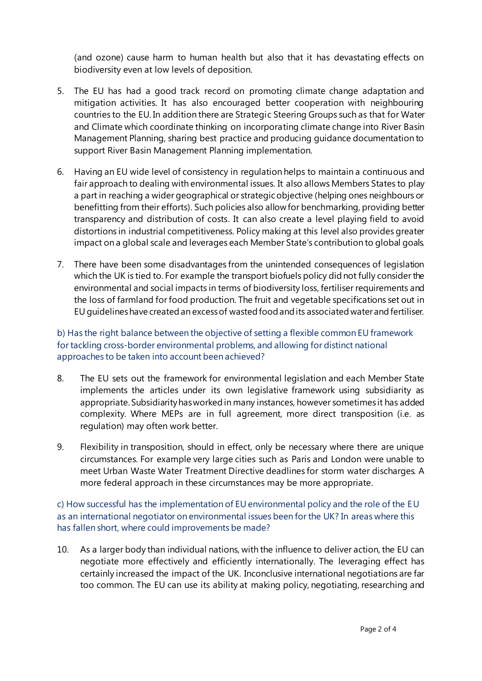(and ozone) cause harm to human health but also that it has devastating effects on biodiversity even at low levels of deposition.

- 5. The EU has had a good track record on promoting climate change adaptation and mitigation activities. It has also encouraged better cooperation with neighbouring countries to the EU. In addition there are Strategic Steering Groups such as that for Water and Climate which coordinate thinking on incorporating climate change into River Basin Management Planning, sharing best practice and producing guidance documentation to support River Basin Management Planning implementation.
- 6. Having an EU wide level of consistency in regulation helps to maintain a continuous and fair approach to dealing with environmental issues. It also allows Members States to play a part in reaching a wider geographical or strategic objective (helping ones neighbours or benefitting from their efforts). Such policies also allow for benchmarking, providing better transparency and distribution of costs. It can also create a level playing field to avoid distortions in industrial competitiveness. Policy making at this level also provides greater impact on a global scale and leverages each Member State's contribution to global goals.
- 7. There have been some disadvantages from the unintended consequences of legislation which the UK is tied to. For example the transport biofuels policy did not fully consider the environmental and social impacts in terms of biodiversity loss, fertiliser requirements and the loss of farmland for food production. The fruit and vegetable specifications set out in EU guidelines have created an excess of wasted food and its associated water and fertiliser.

### b) Has the right balance between the objective of setting a flexible common EU framework for tackling cross-border environmental problems, and allowing for distinct national approaches to be taken into account been achieved?

- 8. The EU sets out the framework for environmental legislation and each Member State implements the articles under its own legislative framework using subsidiarity as appropriate. Subsidiarity has worked in many instances, however sometimes it has added complexity. Where MEPs are in full agreement, more direct transposition (i.e. as regulation) may often work better.
- 9. Flexibility in transposition, should in effect, only be necessary where there are unique circumstances. For example very large cities such as Paris and London were unable to meet Urban Waste Water Treatment Directive deadlines for storm water discharges. A more federal approach in these circumstances may be more appropriate.

c) How successful has the implementation of EU environmental policy and the role of the EU as an international negotiator on environmental issues been for the UK? In areas where this has fallen short, where could improvements be made?

10. As a larger body than individual nations, with the influence to deliver action, the EU can negotiate more effectively and efficiently internationally. The leveraging effect has certainly increased the impact of the UK. Inconclusive international negotiations are far too common. The EU can use its ability at making policy, negotiating, researching and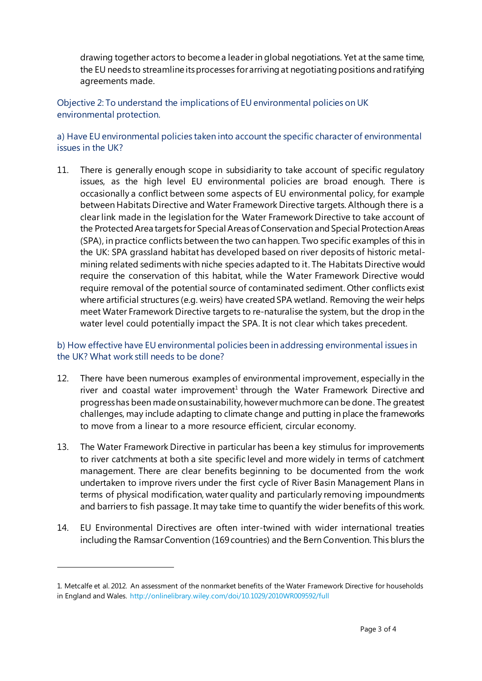drawing together actors to become a leader in global negotiations. Yet at the same time, the EU needs to streamline its processes for arriving at negotiating positions and ratifying agreements made.

Objective 2: To understand the implications of EU environmental policies on UK environmental protection.

a) Have EU environmental policies taken into account the specific character of environmental issues in the UK?

11. There is generally enough scope in subsidiarity to take account of specific regulatory issues, as the high level EU environmental policies are broad enough. There is occasionally a conflict between some aspects of EU environmental policy, for example between Habitats Directive and Water Framework Directive targets. Although there is a clear link made in the legislation for the Water Framework Directive to take account of the Protected Area targets for Special Areas of Conservation and Special Protection Areas (SPA), in practice conflicts between the two can happen. Two specific examples of this in the UK: SPA grassland habitat has developed based on river deposits of historic metalmining related sediments with niche species adapted to it. The Habitats Directive would require the conservation of this habitat, while the Water Framework Directive would require removal of the potential source of contaminated sediment. Other conflicts exist where artificial structures (e.g. weirs) have created SPA wetland. Removing the weir helps meet Water Framework Directive targets to re-naturalise the system, but the drop in the water level could potentially impact the SPA. It is not clear which takes precedent.

## b) How effective have EU environmental policies been in addressing environmental issues in the UK? What work still needs to be done?

- 12. There have been numerous examples of environmental improvement, especially in the river and coastal water improvement<sup>1</sup> through the Water Framework Directive and progress has been made on sustainability, however much more can be done. The greatest challenges, may include adapting to climate change and putting in place the frameworks to move from a linear to a more resource efficient, circular economy.
- 13. The Water Framework Directive in particular has been a key stimulus for improvements to river catchments at both a site specific level and more widely in terms of catchment management. There are clear benefits beginning to be documented from the work undertaken to improve rivers under the first cycle of River Basin Management Plans in terms of physical modification, water quality and particularly removing impoundments and barriers to fish passage. It may take time to quantify the wider benefits of this work.
- 14. EU Environmental Directives are often inter-twined with wider international treaties including the Ramsar Convention (169 countries) and the Bern Convention. This blurs the

l

<sup>1.</sup> Metcalfe et al. 2012. An assessment of the nonmarket benefits of the Water Framework Directive for households in England and Wales.<http://onlinelibrary.wiley.com/doi/10.1029/2010WR009592/full>